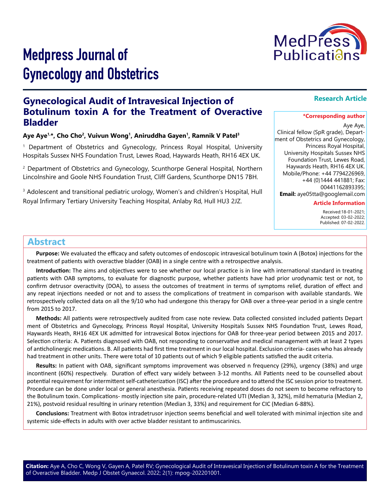

# Medpress Journal of Gynecology and Obstetrics

# **Gynecological Audit of Intravesical Injection of Botulinum toxin A for the Treatment of Overactive Bladder**

## Aye Aye<sup>1,\*</sup>, Cho Cho<sup>2</sup>, Vuivun Wong<sup>1</sup>, Aniruddha Gayen<sup>1</sup>, Ramnik V Patel<sup>3</sup>

1 Department of Obstetrics and Gynecology, Princess Royal Hospital, University Hospitals Sussex NHS Foundation Trust, Lewes Road, Haywards Heath, RH16 4EX UK.

<sup>2</sup> Department of Obstetrics and Gynecology, Scunthorpe General Hospital, Northern Lincolnshire and Goole NHS Foundation Trust, Cliff Gardens, Scunthorpe DN15 7BH.

<sup>3</sup> Adolescent and transitional pediatric urology, Women's and children's Hospital, Hull Royal Infirmary Tertiary University Teaching Hospital, Anlaby Rd, Hull HU3 2JZ.

# **Abstract**

**Purpose:** We evaluated the efficacy and safety outcomes of endoscopic intravesical botulinum toxin A (Botox) injections for the treatment of patients with overactive bladder (OAB) in a single centre with a retrospective analysis.

**Introduction:** The aims and objectives were to see whether our local practice is in line with international standard in treating patients with OAB symptoms, to evaluate for diagnostic purpose, whether patients have had prior urodynamic test or not, to confirm detrusor overactivity (DOA), to assess the outcomes of treatment in terms of symptoms relief, duration of effect and any repeat injections needed or not and to assess the complications of treatment in comparison with available standards. We retrospectively collected data on all the 9/10 who had undergone this therapy for OAB over a three-year period in a single centre from 2015 to 2017.

**Methods:** All patients were retrospectively audited from case note review. Data collected consisted included patients Depart ment of Obstetrics and Gynecology, Princess Royal Hospital, University Hospitals Sussex NHS Foundation Trust, Lewes Road, Haywards Heath, RH16 4EX UK admitted for intravesical Botox injections for OAB for three-year period between 2015 and 2017. Selection criteria: A. Patients diagnosed with OAB, not responding to conservative and medical management with at least 2 types of anticholinergic medications. B. All patients had first time treatment in our local hospital. Exclusion criteria- cases who has already had treatment in other units. There were total of 10 patients out of which 9 eligible patients satisfied the audit criteria.

**Results:** In patient with OAB, significant symptoms improvement was observed n frequency (29%), urgency (38%) and urge incontinent (60%) respectively. Duration of effect vary widely between 3-12 months. All Patients need to be counselled about potential requirement for intermittent self-catheterization (ISC) after the procedure and to attend the ISC session prior to treatment. Procedure can be done under local or general anesthesia. Patients receiving repeated doses do not seem to become refractory to the Botulinum toxin. Complications- mostly injection site pain, procedure-related UTI (Median 3, 32%), mild hematuria (Median 2, 21%), postvoid residual resulting in urinary retention (Median 3, 33%) and requirement for CIC (Median 6-88%).

**Conclusions:** Treatment with Botox intradetrusor injection seems beneficial and well tolerated with minimal injection site and systemic side-effects in adults with over active bladder resistant to antimuscarinics.

# **Research Article**

#### **\*Corresponding author**

Aye Aye,

Clinical fellow (SpR grade), Department of Obstetrics and Gynecology, Princess Royal Hospital, University Hospitals Sussex NHS Foundation Trust, Lewes Road, Haywards Heath, RH16 4EX UK. Mobile/Phone: +44 7794226969, +44 (0)1444 441881; Fax: 00441162893395; **Email:** aye05tta@googlemail.com

### **Article Information**

 Received:18-01-2021; Accepted: 03-02-2022; Published: 07-02-2022.

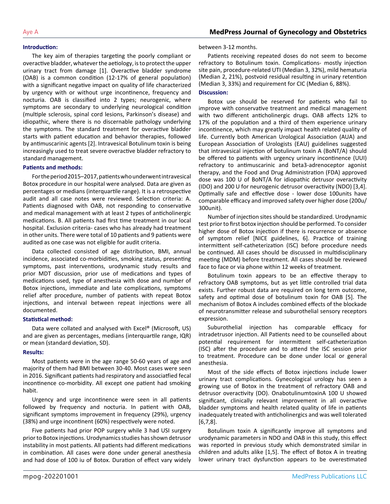#### **Introduction:**

The key aim of therapies targeting the poorly compliant or overactive bladder, whatever the aetiology, is to protect the upper urinary tract from damage [1]. Overactive bladder syndrome (OAB) is a common condition (12-17% of general population) with a significant negative impact on quality of life characterized by urgency with or without urge incontinence, frequency and nocturia. OAB is classified into 2 types; neurogenic, where symptoms are secondary to underlying neurological condition (multiple sclerosis, spinal cord lesions, Parkinson's disease) and idiopathic, where there is no discernable pathology underlying the symptoms. The standard treatment for overactive bladder starts with patient education and behavior therapies, followed by antimuscarinic agents [2]. Intravesical Botulinum toxin is being increasingly used to treat severe overactive bladder refractory to standard management.

#### **Patients and methods:**

For the period 2015–2017, patients who underwent intravesical Botox procedure in our hospital were analysed. Data are given as percentages or medians (interquartile range). It is a retrospective audit and all case notes were reviewed. Selection criteria: A. Patients diagnosed with OAB, not responding to conservative and medical management with at least 2 types of anticholinergic medications. B. All patients had first time treatment in our local hospital. Exclusion criteria- cases who has already had treatment in other units. There were total of 10 patients and 9 patients were audited as one case was not eligible for audit criteria.

Data collected consisted of age distribution, BMI, annual incidence, associated co-morbidities, smoking status, presenting symptoms, past interventions, urodynamic study results and prior MDT discussion, prior use of medications and types of medications used, type of anesthesia with dose and number of Botox injections, immediate and late complications, symptoms relief after procedure, number of patients with repeat Botox injections, and interval between repeat injections were all documented.

#### **Statistical method:**

Data were collated and analysed with Excel® (Microsoft, US) and are given as percentages, medians (interquartile range, IQR) or mean (standard deviation, SD).

#### **Results:**

Most patients were in the age range 50-60 years of age and majority of them had BMI between 30-40. Most cases were seen in 2016. Significant patients had respiratory and associatfied fecal incontinence co-morbidity. All except one patient had smoking habit.

Urgency and urge incontinence were seen in all patients followed by frequency and nocturia. In patient with OAB, significant symptoms improvement in frequency (29%), urgency (38%) and urge incontinent (60%) respectively were noted.

Five patients had prior POP surgery while 3 had USI surgery prior to Botox injections. Urodynamics studies has shown detrusor instability in most patients. All patients had different medications in combination. All cases were done under general anesthesia and had dose of 100 iu of Botox. Duration of effect vary widely

between 3-12 months.

Patients receiving repeated doses do not seem to become refractory to Botulinum toxin. Complications- mostly injection site pain, procedure-related UTI (Median 3, 32%), mild hematuria (Median 2, 21%), postvoid residual resulting in urinary retention (Median 3, 33%) and requirement for CIC (Median 6, 88%).

## **Discussion:**

Botox use should be reserved for patients who fail to improve with conservative treatment and medical management with two different anticholinergic drugs. OAB affects 12% to 17% of the population and a third of them experience urinary incontinence, which may greatly impact health related quality of life. Currently both American Urological Association (AUA) and European Association of Urologists (EAU) guidelines suggested that intravesical injection of botulinum toxin A (BoNT/A) should be offered to patients with urgency urinary incontinence (UUI) refractory to antimuscarinic and beta3-adrenoceptor agonist therapy, and the Food and Drug Administration (FDA) approved dose was 100 U of BoNT/A for idiopathic detrusor overactivity (IDO) and 200 U for neurogenic detrusor overactivity (NDO) [3,4]. Optimally safe and effective dose - lower dose 100units have comparable efficacy and improved safety over higher dose (200u/ 300unit).

Number of injection sites should be standardized. Urodynamic test prior to first botox injection should be performed. To consider higher dose of Botox injection if there is recurrence or absence of symptom relief [NICE guidelines, 6]. Practice of training intermittent self-catheterization (ISC) before procedure needs be continued. All cases should be discussed in multidisciplinary meeting (MDM) before treatment. All cases should be reviewed face to face or via phone within 12 weeks of treatment.

Botulinum toxin appears to be an effective therapy to refractory OAB symptoms, but as yet little controlled trial data exists. Further robust data are required on long term outcome, safety and optimal dose of botulinum toxin for OAB [5]. The mechanism of Botox A includes combined effects of the blockade of neurotransmitter release and suburothelial sensory receptors expression.

Suburothelial injection has comparable efficacy for intradetrusor injection. All Patients need to be counselled about potential requirement for intermittent self-catheterization (ISC) after the procedure and to attend the ISC session prior to treatment. Procedure can be done under local or general anesthesia.

Most of the side effects of Botox injections include lower urinary tract complications. Gynecological urology has seen a growing use of Botox in the treatment of refractory OAB and detrusor overactivity (DO). OnabotulinumtoxinA 100 U showed significant, clinically relevant improvement in all overactive bladder symptoms and health related quality of life in patients inadequately treated with anticholinergics and was well tolerated [6,7,8].

Botulinum toxin A significantly improve all symptoms and urodynamic parameters in NDO and OAB in this study, this effect was reported in previous study which demonstrated similar in children and adults alike [1,5]. The effect of Botox A in treating lower urinary tract dysfunction appears to be overestimated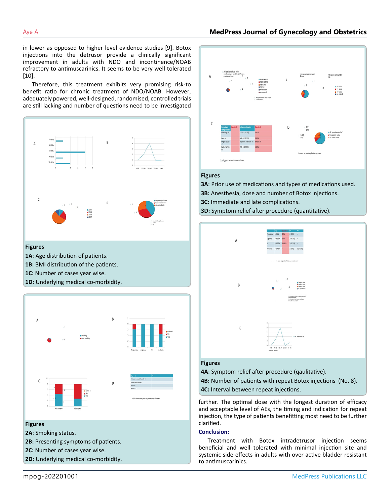# Aye A **MedPress Journal of Gynecology and Obstetrics**

in lower as opposed to higher level evidence studies [9]. Botox injections into the detrusor provide a clinically significant improvement in adults with NDO and incontinence/NOAB refractory to antimuscarinics. It seems to be very well tolerated [10].

Therefore, this treatment exhibits very promising risk-to benefit ratio for chronic treatment of NDO/NOAB. However, adequately powered, well-designed, randomised, controlled trials are still lacking and number of questions need to be investigated



#### **Figures**

- **1A**: Age distribution of patients.
- **1B:** BMI distribution of the patients.
- **1C:** Number of cases year wise.
- **1D:** Underlying medical co-morbidity.



#### **Figures**

- **2A**: Smoking status.
- **2B:** Presenting symptoms of patients.
- **2C:** Number of cases year wise.
- **2D:** Underlying medical co-morbidity.



#### **Figures**

**3A**: Prior use of medications and types of medications used. **3B:** Anesthesia, dose and number of Botox injections. **3C:** Immediate and late complications.

**3D:** Symptom relief after procedure (quantitative).



#### **Figures**

**4A**: Symptom relief after procedure (qaulitative).

**4B:** Number of patients with repeat Botox injections (No. 8).

**4C:** Interval between repeat injections.

further. The optimal dose with the longest duration of efficacy and acceptable level of AEs, the timing and indication for repeat injection, the type of patients benefitting most need to be further clarified.

#### **Conclusion:**

Treatment with Botox intradetrusor injection seems beneficial and well tolerated with minimal injection site and systemic side-effects in adults with over active bladder resistant to antimuscarinics.